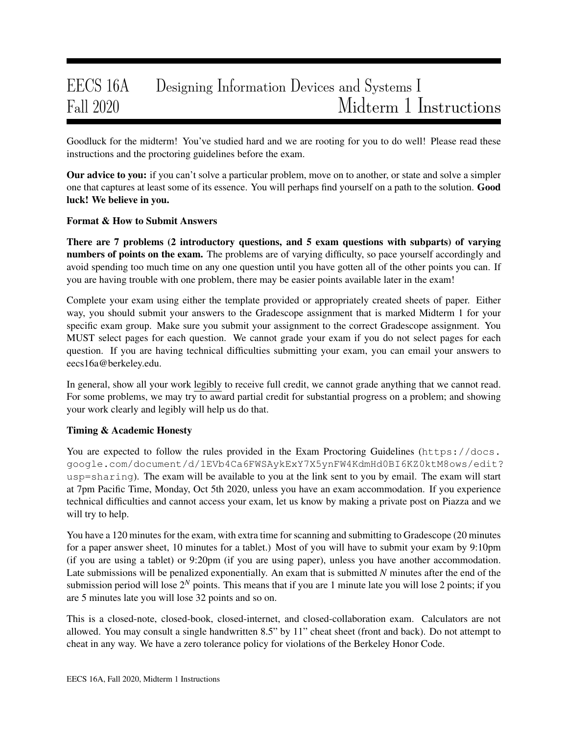# EECS 16A Designing Information Devices and Systems I Fall 2020 Midterm 1 Instructions

Goodluck for the midterm! You've studied hard and we are rooting for you to do well! Please read these instructions and the proctoring guidelines before the exam.

**Our advice to you:** if you can't solve a particular problem, move on to another, or state and solve a simpler one that captures at least some of its essence. You will perhaps find yourself on a path to the solution. Good luck! We believe in you.

## Format & How to Submit Answers

There are 7 problems (2 introductory questions, and 5 exam questions with subparts) of varying numbers of points on the exam. The problems are of varying difficulty, so pace yourself accordingly and avoid spending too much time on any one question until you have gotten all of the other points you can. If you are having trouble with one problem, there may be easier points available later in the exam!

Complete your exam using either the template provided or appropriately created sheets of paper. Either way, you should submit your answers to the Gradescope assignment that is marked Midterm 1 for your specific exam group. Make sure you submit your assignment to the correct Gradescope assignment. You MUST select pages for each question. We cannot grade your exam if you do not select pages for each question. If you are having technical difficulties submitting your exam, you can email your answers to eecs16a@berkeley.edu.

In general, show all your work legibly to receive full credit, we cannot grade anything that we cannot read. For some problems, we may try to award partial credit for substantial progress on a problem; and showing your work clearly and legibly will help us do that.

## Timing & Academic Honesty

You are expected to follow the rules provided in the Exam Proctoring Guidelines (https://docs. google.com/document/d/1EVb4Ca6FWSAykExY7X5ynFW4KdmHd0BI6KZ0ktM8ows/edit? usp=sharing). The exam will be available to you at the link sent to you by email. The exam will start at 7pm Pacific Time, Monday, Oct 5th 2020, unless you have an exam accommodation. If you experience technical difficulties and cannot access your exam, let us know by making a private post on Piazza and we will try to help.

You have a 120 minutes for the exam, with extra time for scanning and submitting to Gradescope (20 minutes for a paper answer sheet, 10 minutes for a tablet.) Most of you will have to submit your exam by 9:10pm (if you are using a tablet) or 9:20pm (if you are using paper), unless you have another accommodation. Late submissions will be penalized exponentially. An exam that is submitted *N* minutes after the end of the submission period will lose  $2^N$  points. This means that if you are 1 minute late you will lose 2 points; if you are 5 minutes late you will lose 32 points and so on.

This is a closed-note, closed-book, closed-internet, and closed-collaboration exam. Calculators are not allowed. You may consult a single handwritten 8.5" by 11" cheat sheet (front and back). Do not attempt to cheat in any way. We have a zero tolerance policy for violations of the Berkeley Honor Code.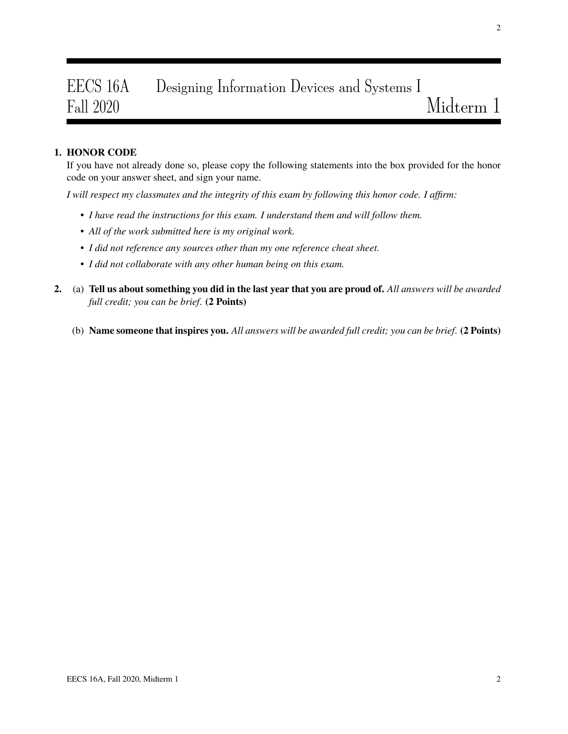# EECS 16A Designing Information Devices and Systems I Fall 2020 Midterm 1

## 1. HONOR CODE

If you have not already done so, please copy the following statements into the box provided for the honor code on your answer sheet, and sign your name.

*I will respect my classmates and the integrity of this exam by following this honor code. I affirm:*

- *I have read the instructions for this exam. I understand them and will follow them.*
- *All of the work submitted here is my original work.*
- *I did not reference any sources other than my one reference cheat sheet.*
- *I did not collaborate with any other human being on this exam.*
- 2. (a) Tell us about something you did in the last year that you are proud of. *All answers will be awarded full credit; you can be brief*. (2 Points)
	- (b) Name someone that inspires you. *All answers will be awarded full credit; you can be brief*. (2 Points)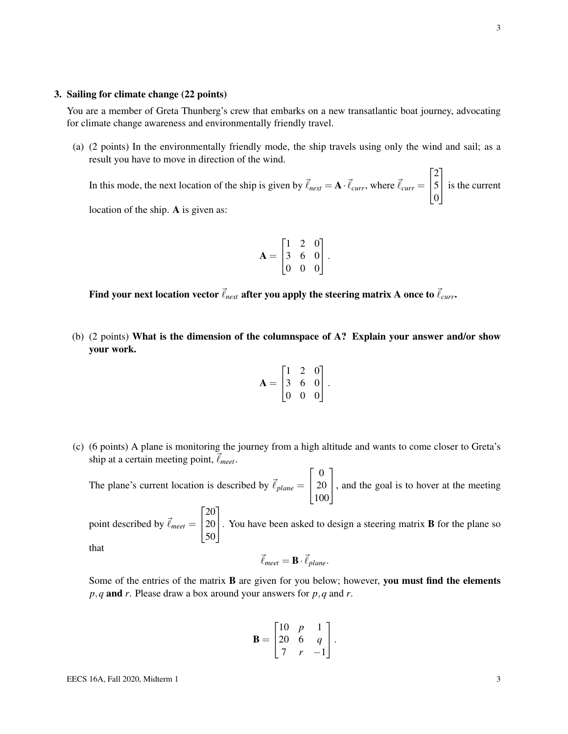#### 3. Sailing for climate change (22 points)

You are a member of Greta Thunberg's crew that embarks on a new transatlantic boat journey, advocating for climate change awareness and environmentally friendly travel.

(a) (2 points) In the environmentally friendly mode, the ship travels using only the wind and sail; as a result you have to move in direction of the wind.

In this mode, the next location of the ship is given by  $\vec{\ell}_{next} = \mathbf{A} \cdot \vec{\ell}_{curr}$ , where  $\vec{\ell}_{curr} =$  $\sqrt{ }$  $\overline{1}$ 2 5 0 1 is the current

location of the ship. A is given as:

$$
\mathbf{A} = \begin{bmatrix} 1 & 2 & 0 \\ 3 & 6 & 0 \\ 0 & 0 & 0 \end{bmatrix}.
$$

Find your next location vector  $\vec{\ell}_{next}$  after you apply the steering matrix A once to  $\vec{\ell}_{curr}$ .

(b) (2 points) What is the dimension of the columnspace of A? Explain your answer and/or show your work.

$$
\mathbf{A} = \begin{bmatrix} 1 & 2 & 0 \\ 3 & 6 & 0 \\ 0 & 0 & 0 \end{bmatrix}.
$$

(c) (6 points) A plane is monitoring the journey from a high altitude and wants to come closer to Greta's ship at a certain meeting point,  $\vec{\ell}_{meet}$ .

The plane's current location is described by  $\vec{\ell}_{plane}$  =  $\sqrt{ }$  $\overline{1}$ 0 20 100 1 , and the goal is to hover at the meeting  $\sqrt{ }$ 20 1

point described by  $\vec{\ell}_{meet} =$  $\overline{1}$ 20 50 . You have been asked to design a steering matrix <sup>B</sup> for the plane so that

$$
\vec{\ell}_{meet} = \mathbf{B} \cdot \vec{\ell}_{plane}.
$$

Some of the entries of the matrix **B** are given for you below; however, you must find the elements *p*,*q* and *r*. Please draw a box around your answers for *p*,*q* and *r*.

$$
\mathbf{B} = \begin{bmatrix} 10 & p & 1 \\ 20 & 6 & q \\ 7 & r & -1 \end{bmatrix}.
$$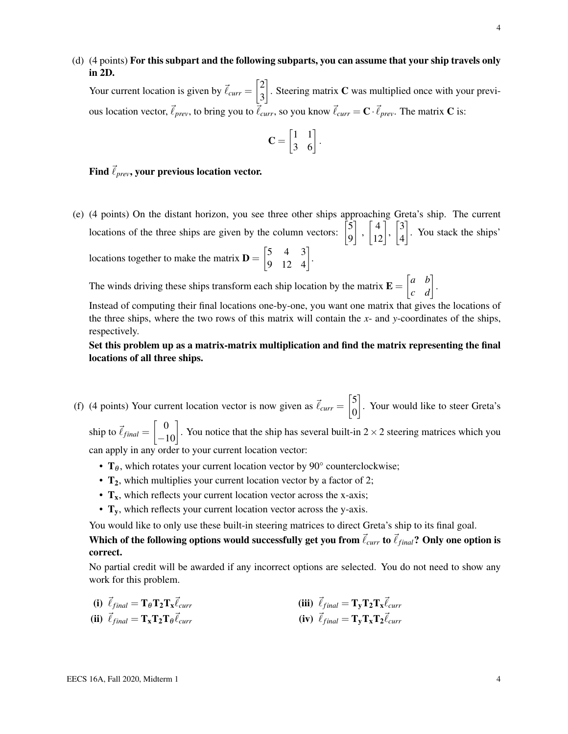(d) (4 points) For this subpart and the following subparts, you can assume that your ship travels only in 2D.

Your current location is given by  $\vec{\ell}_{curr} = \begin{bmatrix} 2 \\ 2 \end{bmatrix}$ 3 . Steering matrix  $C$  was multiplied once with your previous location vector,  $\vec{\ell}_{prev}$ , to bring you to  $\vec{\ell}_{curr}$ , so you know  $\vec{\ell}_{curr} = \mathbf{C} \cdot \vec{\ell}_{prev}$ . The matrix **C** is:

$$
\mathbf{C} = \begin{bmatrix} 1 & 1 \\ 3 & 6 \end{bmatrix}.
$$

### Find  $\vec{\ell}_{prev}$ , your previous location vector.

(e) (4 points) On the distant horizon, you see three other ships approaching Greta's ship. The current locations of the three ships are given by the column vectors:  $\begin{bmatrix} 5 \\ 0 \end{bmatrix}$ 9  $\Bigg], \Bigg[ \begin{matrix} 4 \\ 12 \end{matrix} \Bigg], \Bigg[ \begin{matrix} 3 \\ 4 \end{matrix} \Bigg]$ 4 . You stack the ships' locations together to make the matrix  $\mathbf{D} = \begin{bmatrix} 5 & 4 & 3 \\ 9 & 12 & 4 \end{bmatrix}$ .

The winds driving these ships transform each ship location by the matrix  $\mathbf{E} = \begin{bmatrix} a & b \\ c & d \end{bmatrix}$ .

Instead of computing their final locations one-by-one, you want one matrix that gives the locations of the three ships, where the two rows of this matrix will contain the *x*- and *y*-coordinates of the ships, respectively.

## Set this problem up as a matrix-matrix multiplication and find the matrix representing the final locations of all three ships.

(f) (4 points) Your current location vector is now given as  $\vec{\ell}_{curr} = \begin{bmatrix} 5 \\ 0 \end{bmatrix}$ 0 . Your would like to steer Greta's

ship to  $\vec{\ell}_{final} = \begin{bmatrix} 0 \\ -10 \end{bmatrix}$ . You notice that the ship has several built-in 2 × 2 steering matrices which you can apply in any order to your current location vector:

- $T_{\theta}$ , which rotates your current location vector by 90 $^{\circ}$  counterclockwise;
- $T_2$ , which multiplies your current location vector by a factor of 2;
- $T_x$ , which reflects your current location vector across the x-axis;
- $T_v$ , which reflects your current location vector across the y-axis.

You would like to only use these built-in steering matrices to direct Greta's ship to its final goal.

Which of the following options would successfully get you from  $\vec{\ell}_{curr}$  to  $\vec{\ell}_{final}$ ? Only one option is correct.

No partial credit will be awarded if any incorrect options are selected. You do not need to show any work for this problem.

(i) 
$$
\vec{\ell}_{final} = \mathbf{T}_{\theta} \mathbf{T}_{2} \mathbf{T}_{\mathbf{x}} \vec{\ell}_{curr}
$$
  
\n(ii)  $\vec{\ell}_{final} = \mathbf{T}_{\mathbf{x}} \mathbf{T}_{2} \mathbf{T}_{\theta} \vec{\ell}_{curr}$   
\n(iii)  $\vec{\ell}_{final} = \mathbf{T}_{\mathbf{y}} \mathbf{T}_{2} \mathbf{T}_{\mathbf{x}} \vec{\ell}_{curr}$   
\n(iv)  $\vec{\ell}_{final} = \mathbf{T}_{\mathbf{y}} \mathbf{T}_{\mathbf{x}} \mathbf{T}_{2} \vec{\ell}_{curr}$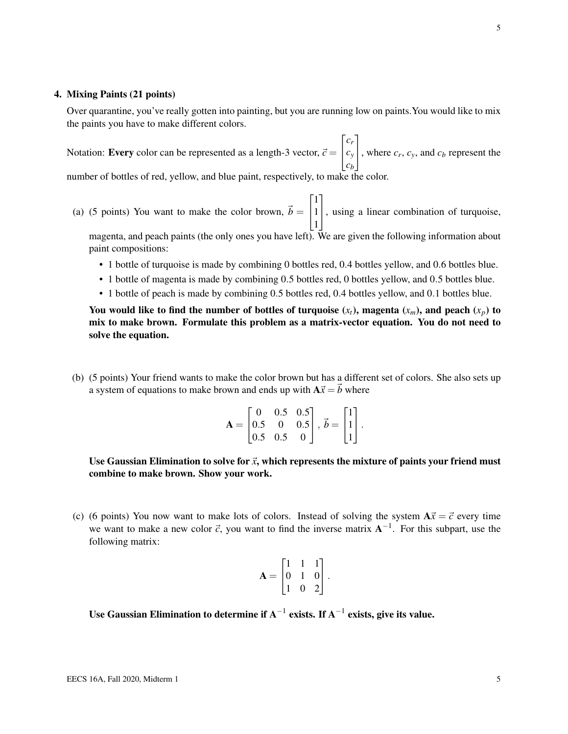#### 4. Mixing Paints (21 points)

Over quarantine, you've really gotten into painting, but you are running low on paints.You would like to mix the paints you have to make different colors.

Notation: **Every** color can be represented as a length-3 vector,  $\vec{c}$  =  $\sqrt{ }$  $\overline{1}$ *cr cy cb* 1 , where  $c_r$ ,  $c_y$ , and  $c_b$  represent the number of bottles of red, yellow, and blue paint, respectively, to make the color.

- (a) (5 points) You want to make the color brown,  $\vec{b} =$  $\sqrt{ }$  $\overline{1}$ 1 1 1 1 , using a linear combination of turquoise, magenta, and peach paints (the only ones you have left). We are given the following information about paint compositions:
	- 1 bottle of turquoise is made by combining 0 bottles red, 0.4 bottles yellow, and 0.6 bottles blue.
	- 1 bottle of magenta is made by combining 0.5 bottles red, 0 bottles yellow, and 0.5 bottles blue.
	- 1 bottle of peach is made by combining 0.5 bottles red, 0.4 bottles yellow, and 0.1 bottles blue.

You would like to find the number of bottles of turquoise  $(x_t)$ , magenta  $(x_m)$ , and peach  $(x_p)$  to mix to make brown. Formulate this problem as a matrix-vector equation. You do not need to solve the equation.

(b) (5 points) Your friend wants to make the color brown but has a different set of colors. She also sets up a system of equations to make brown and ends up with  $A\vec{x} = \vec{b}$  where

$$
\mathbf{A} = \begin{bmatrix} 0 & 0.5 & 0.5 \\ 0.5 & 0 & 0.5 \\ 0.5 & 0.5 & 0 \end{bmatrix}, \vec{b} = \begin{bmatrix} 1 \\ 1 \\ 1 \end{bmatrix}.
$$

Use Gaussian Elimination to solve for  $\vec{x}$ , which represents the mixture of paints your friend must combine to make brown. Show your work.

(c) (6 points) You now want to make lots of colors. Instead of solving the system  $A\vec{x} = \vec{c}$  every time we want to make a new color  $\vec{c}$ , you want to find the inverse matrix  $A^{-1}$ . For this subpart, use the following matrix:

$$
\mathbf{A} = \begin{bmatrix} 1 & 1 & 1 \\ 0 & 1 & 0 \\ 1 & 0 & 2 \end{bmatrix}.
$$

Use Gaussian Elimination to determine if  $\mathrm{A}^{-1}$  exists. If  $\mathrm{A}^{-1}$  exists, give its value.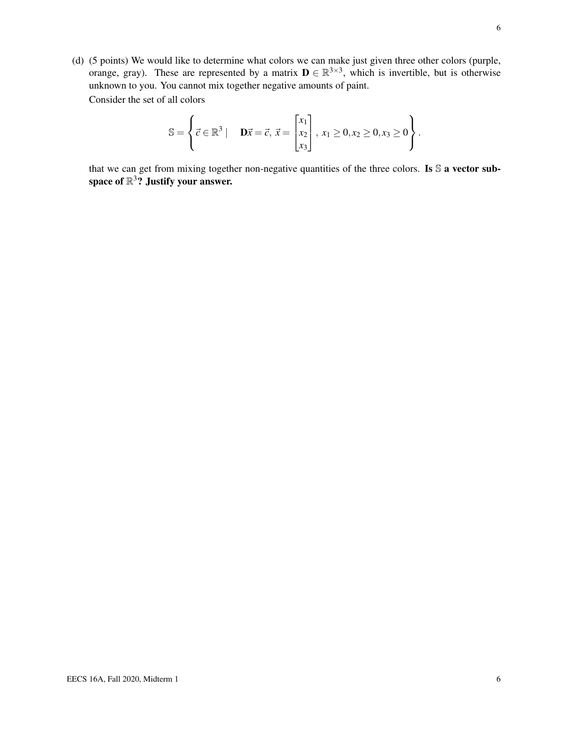(d) (5 points) We would like to determine what colors we can make just given three other colors (purple, orange, gray). These are represented by a matrix  $\mathbf{D} \in \mathbb{R}^{3 \times 3}$ , which is invertible, but is otherwise unknown to you. You cannot mix together negative amounts of paint. Consider the set of all colors

$$
\mathbb{S} = \left\{ \vec{c} \in \mathbb{R}^3 \mid \mathbf{D}\vec{x} = \vec{c}, \ \vec{x} = \begin{bmatrix} x_1 \\ x_2 \\ x_3 \end{bmatrix}, \ x_1 \ge 0, x_2 \ge 0, x_3 \ge 0 \right\}.
$$

that we can get from mixing together non-negative quantities of the three colors. Is S a vector subspace of  $\mathbb{R}^3$ ? Justify your answer.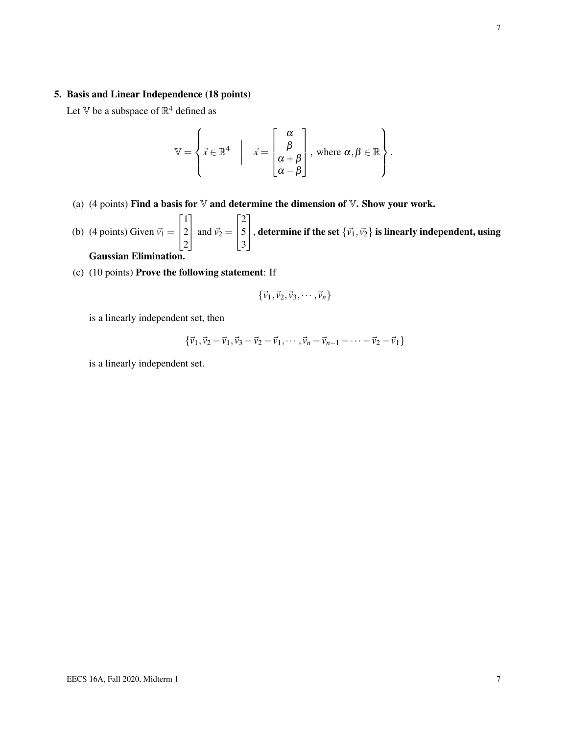### 5. Basis and Linear Independence (18 points)

Let V be a subspace of  $\mathbb{R}^4$  defined as

$$
\mathbb{V} = \left\{ \vec{x} \in \mathbb{R}^4 \middle| \quad \vec{x} = \begin{bmatrix} \alpha \\ \beta \\ \alpha + \beta \\ \alpha - \beta \end{bmatrix}, \text{ where } \alpha, \beta \in \mathbb{R} \right\}.
$$

- (a) (4 points) Find a basis for  $\nabla$  and determine the dimension of  $\nabla$ . Show your work.
- (b) (4 points) Given  $\vec{v_1}$  =  $\sqrt{ }$  $\overline{1}$ 1 2 2 1 and  $\vec{v}_2$  =  $\sqrt{ }$  $\overline{1}$ 2 5 3 1 , determine if the set  $\{\vec{v_1}, \vec{v_2}\}$  is linearly independent, using Gaussian Elimination.
- (c) (10 points) Prove the following statement: If

$$
\{\vec{v}_1,\vec{v}_2,\vec{v}_3,\cdots,\vec{v}_n\}
$$

is a linearly independent set, then

$$
\{\vec{v}_1, \vec{v}_2 - \vec{v}_1, \vec{v}_3 - \vec{v}_2 - \vec{v}_1, \cdots, \vec{v}_n - \vec{v}_{n-1} - \cdots - \vec{v}_2 - \vec{v}_1\}
$$

is a linearly independent set.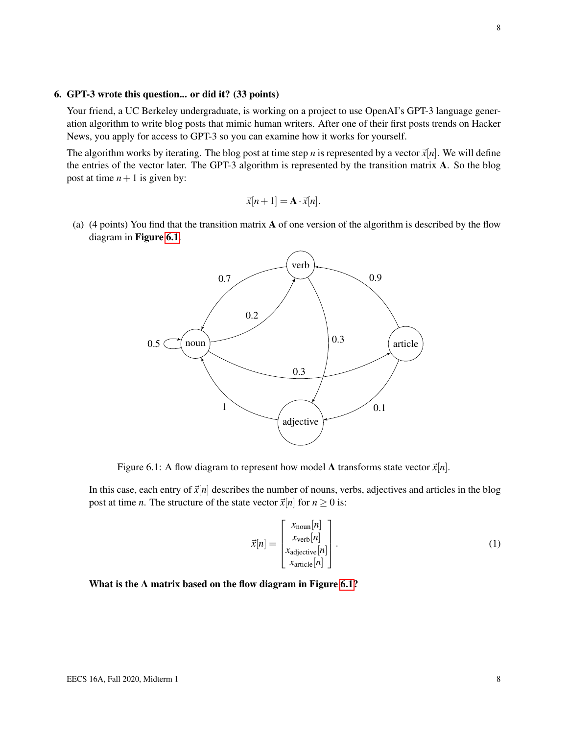#### 6. GPT-3 wrote this question... or did it? (33 points)

Your friend, a UC Berkeley undergraduate, is working on a project to use OpenAI's GPT-3 language generation algorithm to write blog posts that mimic human writers. After one of their first posts trends on Hacker News, you apply for access to GPT-3 so you can examine how it works for yourself.

The algorithm works by iterating. The blog post at time step *n* is represented by a vector  $\vec{x}[n]$ . We will define the entries of the vector later. The GPT-3 algorithm is represented by the transition matrix A. So the blog post at time  $n+1$  is given by:

$$
\vec{x}[n+1] = \mathbf{A} \cdot \vec{x}[n].
$$

<span id="page-7-0"></span>(a) (4 points) You find that the transition matrix A of one version of the algorithm is described by the flow diagram in Figure [6.1](#page-7-0).



Figure 6.1: A flow diagram to represent how model A transforms state vector  $\vec{x}[n]$ .

In this case, each entry of  $\vec{x}[n]$  describes the number of nouns, verbs, adjectives and articles in the blog post at time *n*. The structure of the state vector  $\vec{x}[n]$  for  $n \ge 0$  is:

$$
\vec{x}[n] = \begin{bmatrix} x_{\text{noun}}[n] \\ x_{\text{verb}}[n] \\ x_{\text{adjective}}[n] \\ x_{\text{article}}[n] \end{bmatrix} . \tag{1}
$$

#### What is the A matrix based on the flow diagram in Figure [6.1?](#page-7-0)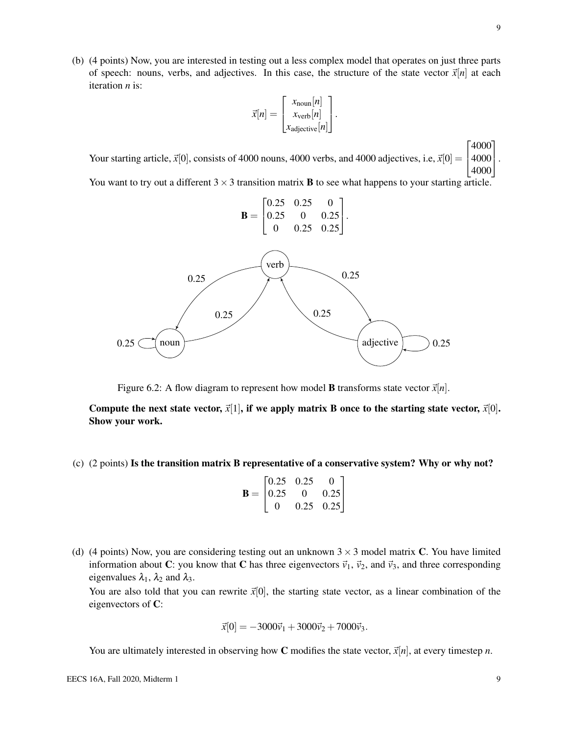(b) (4 points) Now, you are interested in testing out a less complex model that operates on just three parts of speech: nouns, verbs, and adjectives. In this case, the structure of the state vector  $\vec{x}[n]$  at each iteration *n* is:

$$
\vec{x}[n] = \begin{bmatrix} x_{\text{noun}}[n] \\ x_{\text{verb}}[n] \\ x_{\text{adjective}}[n] \end{bmatrix}.
$$

Your starting article,  $\vec{x}[0]$ , consists of 4000 nouns, 4000 verbs, and 4000 adjectives, i.e,  $\vec{x}[0] = \begin{bmatrix} 4000 \\ 4000 \end{bmatrix}$ .  $\sqrt{ }$ 4000 4000 1

You want to try out a different  $3 \times 3$  transition matrix **B** to see what happens to your starting article.



Figure 6.2: A flow diagram to represent how model **B** transforms state vector  $\vec{x}[n]$ .

Compute the next state vector,  $\vec{x}[1]$ , if we apply matrix B once to the starting state vector,  $\vec{x}[0]$ . Show your work.

(c) (2 points) Is the transition matrix B representative of a conservative system? Why or why not?

|                | $\sqrt{0.25}$ | 0.25     | 0    |  |
|----------------|---------------|----------|------|--|
| $\mathbf{B} =$ | 10.25         | $\theta$ | 0.25 |  |
|                |               | 0.25     | 0.25 |  |

(d) (4 points) Now, you are considering testing out an unknown  $3 \times 3$  model matrix C. You have limited information about C: you know that C has three eigenvectors  $\vec{v}_1$ ,  $\vec{v}_2$ , and  $\vec{v}_3$ , and three corresponding eigenvalues  $\lambda_1$ ,  $\lambda_2$  and  $\lambda_3$ .

You are also told that you can rewrite  $\vec{x}[0]$ , the starting state vector, as a linear combination of the eigenvectors of C:

$$
\vec{x}[0] = -3000\vec{v}_1 + 3000\vec{v}_2 + 7000\vec{v}_3.
$$

You are ultimately interested in observing how C modifies the state vector,  $\vec{x}[n]$ , at every timestep *n*.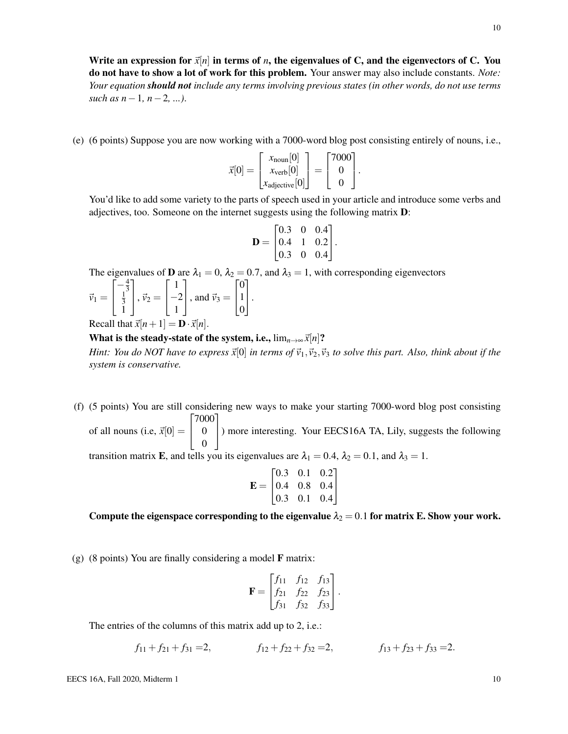Write an expression for  $\vec{x}[n]$  in terms of *n*, the eigenvalues of C, and the eigenvectors of C. You do not have to show a lot of work for this problem. Your answer may also include constants. *Note: Your equation should not include any terms involving previous states (in other words, do not use terms such as n*−1*, n*−2*, ...)*.

(e) (6 points) Suppose you are now working with a 7000-word blog post consisting entirely of nouns, i.e.,

$$
\vec{x}[0] = \begin{bmatrix} x_{\text{noun}}[0] \\ x_{\text{verb}}[0] \\ x_{\text{adjective}}[0] \end{bmatrix} = \begin{bmatrix} 7000 \\ 0 \\ 0 \end{bmatrix}.
$$

You'd like to add some variety to the parts of speech used in your article and introduce some verbs and adjectives, too. Someone on the internet suggests using the following matrix D:

$$
\mathbf{D} = \begin{bmatrix} 0.3 & 0 & 0.4 \\ 0.4 & 1 & 0.2 \\ 0.3 & 0 & 0.4 \end{bmatrix}.
$$

The eigenvalues of **D** are  $\lambda_1 = 0$ ,  $\lambda_2 = 0.7$ , and  $\lambda_3 = 1$ , with corresponding eigenvectors

$$
\vec{v}_1 = \begin{bmatrix} -\frac{4}{3} \\ \frac{1}{3} \\ 1 \end{bmatrix}, \vec{v}_2 = \begin{bmatrix} 1 \\ -2 \\ 1 \end{bmatrix}, \text{ and } \vec{v}_3 = \begin{bmatrix} 0 \\ 1 \\ 0 \end{bmatrix}.
$$

Recall that  $\vec{x}[n+1] = \mathbf{D} \cdot \vec{x}[n]$ .

What is the steady-state of the system, i.e.,  $\lim_{n\to\infty} \vec{x}[n]$ ?

*Hint: You do NOT have to express*  $\vec{x}[0]$  *in terms of*  $\vec{v}_1, \vec{v}_2, \vec{v}_3$  *to solve this part. Also, think about if the system is conservative.*

(f) (5 points) You are still considering new ways to make your starting 7000-word blog post consisting of all nouns (i.e,  $\vec{x}[0] =$  $\sqrt{ }$  $\overline{1}$ 7000 0 0 1 ) more interesting. Your EECS16A TA, Lily, suggests the following

transition matrix E, and tells you its eigenvalues are  $\lambda_1 = 0.4$ ,  $\lambda_2 = 0.1$ , and  $\lambda_3 = 1$ .

$$
\mathbf{E} = \begin{bmatrix} 0.3 & 0.1 & 0.2 \\ 0.4 & 0.8 & 0.4 \\ 0.3 & 0.1 & 0.4 \end{bmatrix}
$$

Compute the eigenspace corresponding to the eigenvalue  $\lambda_2 = 0.1$  for matrix E. Show your work.

(g) (8 points) You are finally considering a model F matrix:

$$
\mathbf{F} = \begin{bmatrix} f_{11} & f_{12} & f_{13} \\ f_{21} & f_{22} & f_{23} \\ f_{31} & f_{32} & f_{33} \end{bmatrix}.
$$

The entries of the columns of this matrix add up to 2, i.e.:

$$
f_{11} + f_{21} + f_{31} = 2,
$$
  $f_{12} + f_{22} + f_{32} = 2,$   $f_{13} + f_{23} + f_{33} = 2.$ 

EECS 16A, Fall 2020, Midterm 1 10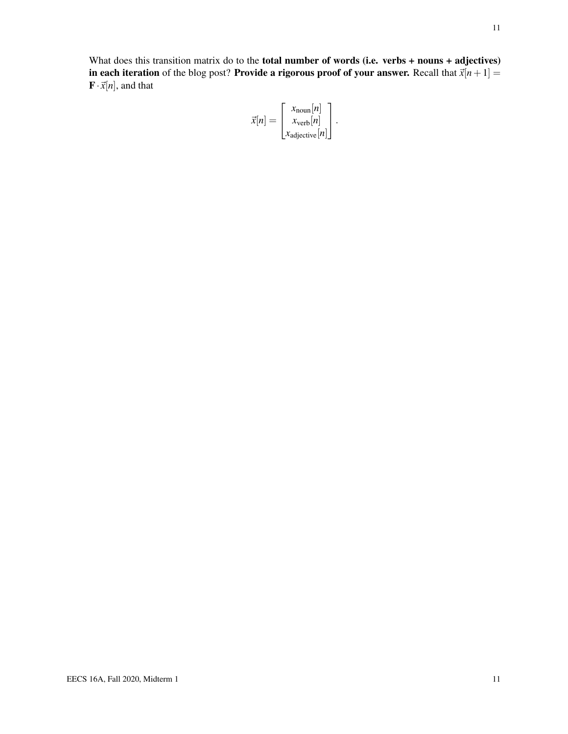What does this transition matrix do to the **total number of words (i.e. verbs + nouns + adjectives)** in each iteration of the blog post? Provide a rigorous proof of your answer. Recall that  $\vec{x}[n+1] =$  $\mathbf{F} \cdot \vec{x}[n]$ , and that

$$
\vec{x}[n] = \begin{bmatrix} x_{\text{noun}}[n] \\ x_{\text{verb}}[n] \\ x_{\text{adjective}}[n] \end{bmatrix}.
$$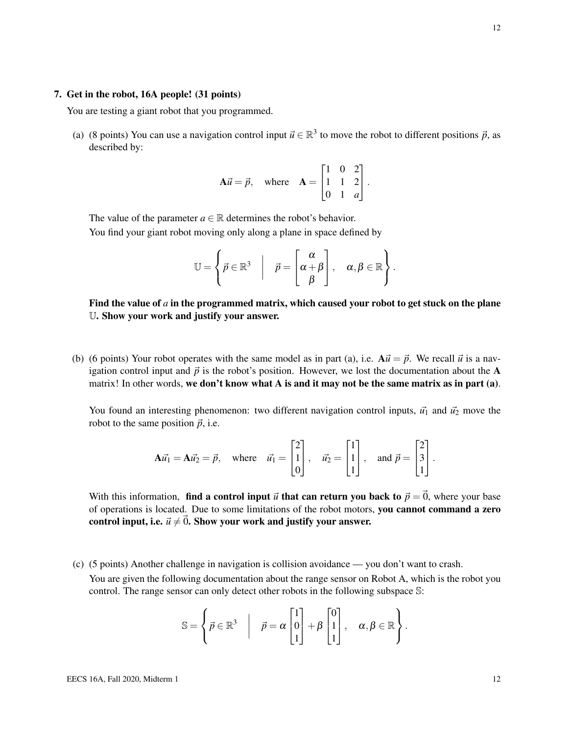#### 7. Get in the robot, 16A people! (31 points)

You are testing a giant robot that you programmed.

(a) (8 points) You can use a navigation control input  $\vec{u} \in \mathbb{R}^3$  to move the robot to different positions  $\vec{p}$ , as described by:

$$
\mathbf{A}\vec{u} = \vec{p}, \quad \text{where} \quad \mathbf{A} = \begin{bmatrix} 1 & 0 & 2 \\ 1 & 1 & 2 \\ 0 & 1 & a \end{bmatrix}.
$$

The value of the parameter  $a \in \mathbb{R}$  determines the robot's behavior. You find your giant robot moving only along a plane in space defined by

$$
\mathbb{U} = \left\{ \vec{p} \in \mathbb{R}^3 \middle| \quad \vec{p} = \begin{bmatrix} \alpha \\ \alpha + \beta \\ \beta \end{bmatrix}, \quad \alpha, \beta \in \mathbb{R} \right\}.
$$

Find the value of  $a$  in the programmed matrix, which caused your robot to get stuck on the plane U. Show your work and justify your answer.

(b) (6 points) Your robot operates with the same model as in part (a), i.e.  $A\vec{u} = \vec{p}$ . We recall  $\vec{u}$  is a navigation control input and  $\vec{p}$  is the robot's position. However, we lost the documentation about the A matrix! In other words, we don't know what A is and it may not be the same matrix as in part (a).

You found an interesting phenomenon: two different navigation control inputs,  $\vec{u_1}$  and  $\vec{u_2}$  move the robot to the same position  $\vec{p}$ , i.e.

$$
\mathbf{A}\vec{u_1} = \mathbf{A}\vec{u_2} = \vec{p}, \text{ where } \vec{u_1} = \begin{bmatrix} 2 \\ 1 \\ 0 \end{bmatrix}, \quad \vec{u_2} = \begin{bmatrix} 1 \\ 1 \\ 1 \end{bmatrix}, \text{ and } \vec{p} = \begin{bmatrix} 2 \\ 3 \\ 1 \end{bmatrix}.
$$

With this information, find a control input  $\vec{u}$  that can return you back to  $\vec{p} = \vec{0}$ , where your base of operations is located. Due to some limitations of the robot motors, you cannot command a zero control input, i.e.  $\vec{u} \neq \vec{0}$ . Show your work and justify your answer.

(c) (5 points) Another challenge in navigation is collision avoidance — you don't want to crash. You are given the following documentation about the range sensor on Robot A, which is the robot you control. The range sensor can only detect other robots in the following subspace S:

$$
\mathbb{S} = \left\{ \vec{p} \in \mathbb{R}^3 \middle| \quad \vec{p} = \alpha \begin{bmatrix} 1 \\ 0 \\ 1 \end{bmatrix} + \beta \begin{bmatrix} 0 \\ 1 \\ 1 \end{bmatrix}, \quad \alpha, \beta \in \mathbb{R} \right\}.
$$